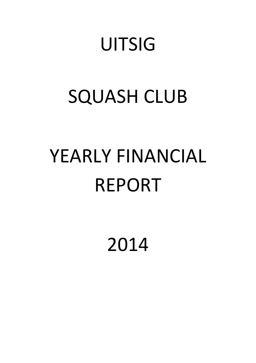## **UITSIG**

# SQUASH CLUB

# YEARLY FINANCIAL REPORT

2014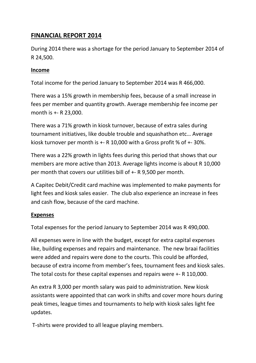## **FINANCIAL REPORT 2014**

During 2014 there was a shortage for the period January to September 2014 of R 24,500.

#### **Income**

Total income for the period January to September 2014 was R 466,000.

There was a 15% growth in membership fees, because of a small increase in fees per member and quantity growth. Average membership fee income per month is +- R 23,000.

There was a 71% growth in kiosk turnover, because of extra sales during tournament initiatives, like double trouble and squashathon etc… Average kiosk turnover per month is +- R 10,000 with a Gross profit % of +- 30%.

There was a 22% growth in lights fees during this period that shows that our members are more active than 2013. Average lights income is about R 10,000 per month that covers our utilities bill of +- R 9,500 per month.

A Capitec Debit/Credit card machine was implemented to make payments for light fees and kiosk sales easier. The club also experience an increase in fees and cash flow, because of the card machine.

#### **Expenses**

Total expenses for the period January to September 2014 was R 490,000.

All expenses were in line with the budget, except for extra capital expenses like, building expenses and repairs and maintenance. The new braai facilities were added and repairs were done to the courts. This could be afforded, because of extra income from member's fees, tournament fees and kiosk sales. The total costs for these capital expenses and repairs were +- R 110,000.

An extra R 3,000 per month salary was paid to administration. New kiosk assistants were appointed that can work in shifts and cover more hours during peak times, league times and tournaments to help with kiosk sales light fee updates.

T-shirts were provided to all league playing members.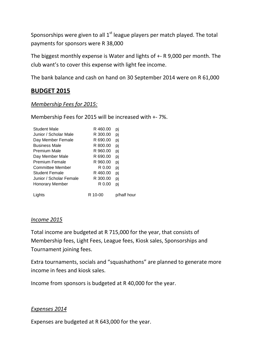Sponsorships were given to all  $1<sup>st</sup>$  league players per match played. The total payments for sponsors were R 38,000

The biggest monthly expense is Water and lights of +- R 9,000 per month. The club want's to cover this expense with light fee income.

The bank balance and cash on hand on 30 September 2014 were on R 61,000

### **BUDGET 2015**

#### *Membership Fees for 2015:*

Membership Fees for 2015 will be increased with +- 7%.

| <b>Student Male</b>     | R 460.00 | pı          |
|-------------------------|----------|-------------|
| Junior / Scholar Male   | R 300.00 | pj          |
| Day Member Female       | R 690.00 | pj          |
| Business Male           | R 800.00 | pj          |
| <b>Premium Male</b>     | R 960.00 | pj          |
| Day Member Male         | R 690.00 | pj          |
| <b>Premium Female</b>   | R 960.00 | pj          |
| Committee Member        | R 0.00   | pj          |
| <b>Student Female</b>   | R 460.00 | pj          |
| Junior / Scholar Female | R 300.00 | pj          |
| <b>Honorary Member</b>  | R 0.00   | pı          |
| Lights                  | R 10-00  | p/half hour |

#### *Income 2015*

Total income are budgeted at R 715,000 for the year, that consists of Membership fees, Light Fees, League fees, Kiosk sales, Sponsorships and Tournament joining fees.

Extra tournaments, socials and "squashathons" are planned to generate more income in fees and kiosk sales.

Income from sponsors is budgeted at R 40,000 for the year.

#### *Expenses 2014*

Expenses are budgeted at R 643,000 for the year.